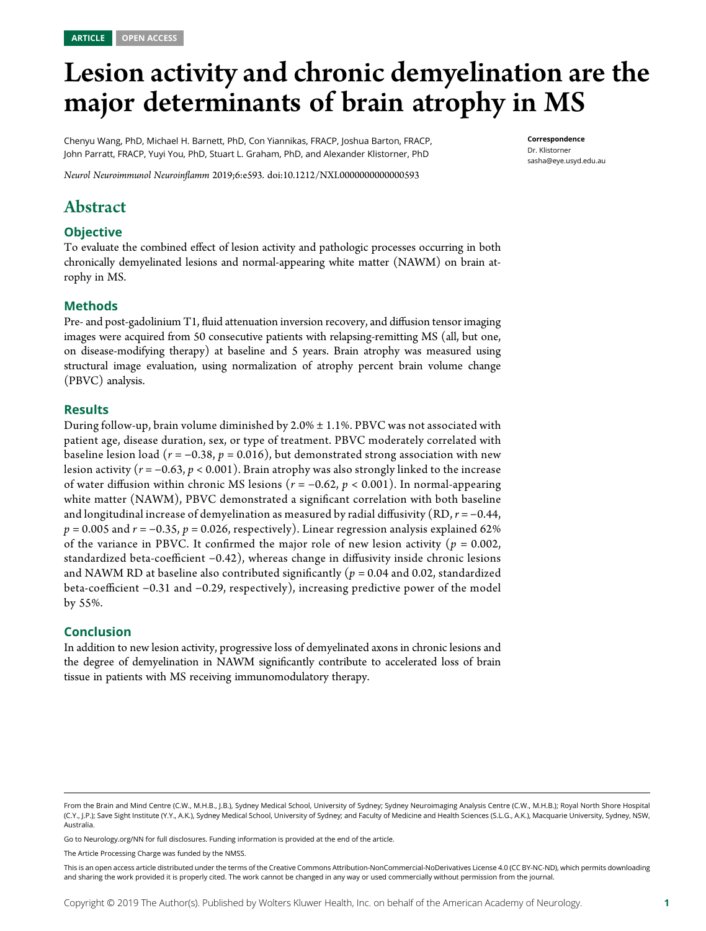# Lesion activity and chronic demyelination are the major determinants of brain atrophy in MS

Chenyu Wang, PhD, Michael H. Barnett, PhD, Con Yiannikas, FRACP, Joshua Barton, FRACP, John Parratt, FRACP, Yuyi You, PhD, Stuart L. Graham, PhD, and Alexander Klistorner, PhD

Neurol Neuroimmunol Neuroinflamm 2019;6:e593. doi[:10.1212/NXI.0000000000000593](http://dx.doi.org/10.1212/NXI.0000000000000593)

# Abstract

#### **Objective**

To evaluate the combined effect of lesion activity and pathologic processes occurring in both chronically demyelinated lesions and normal-appearing white matter (NAWM) on brain atrophy in MS.

#### Methods

Pre- and post-gadolinium T1, fluid attenuation inversion recovery, and diffusion tensor imaging images were acquired from 50 consecutive patients with relapsing-remitting MS (all, but one, on disease-modifying therapy) at baseline and 5 years. Brain atrophy was measured using structural image evaluation, using normalization of atrophy percent brain volume change (PBVC) analysis.

#### Results

During follow-up, brain volume diminished by 2.0% ± 1.1%. PBVC was not associated with patient age, disease duration, sex, or type of treatment. PBVC moderately correlated with baseline lesion load ( $r = -0.38$ ,  $p = 0.016$ ), but demonstrated strong association with new lesion activity ( $r = -0.63$ ,  $p < 0.001$ ). Brain atrophy was also strongly linked to the increase of water diffusion within chronic MS lesions ( $r = -0.62$ ,  $p < 0.001$ ). In normal-appearing white matter (NAWM), PBVC demonstrated a significant correlation with both baseline and longitudinal increase of demyelination as measured by radial diffusivity (RD,  $r = -0.44$ ,  $p = 0.005$  and  $r = -0.35$ ,  $p = 0.026$ , respectively). Linear regression analysis explained 62% of the variance in PBVC. It confirmed the major role of new lesion activity ( $p = 0.002$ , standardized beta-coefficient −0.42), whereas change in diffusivity inside chronic lesions and NAWM RD at baseline also contributed significantly ( $p = 0.04$  and 0.02, standardized beta-coefficient −0.31 and −0.29, respectively), increasing predictive power of the model by 55%.

#### Conclusion

In addition to new lesion activity, progressive loss of demyelinated axons in chronic lesions and the degree of demyelination in NAWM significantly contribute to accelerated loss of brain tissue in patients with MS receiving immunomodulatory therapy.

Go to [Neurology.org/NN](https://nn.neurology.org/content/6/5/e593/tab-article-info) for full disclosures. Funding information is provided at the end of the article.

The Article Processing Charge was funded by the NMSS.

This is an open access article distributed under the terms of the [Creative Commons Attribution-NonCommercial-NoDerivatives License 4.0 \(CC BY-NC-ND\),](http://creativecommons.org/licenses/by-nc-nd/4.0/) which permits downloading and sharing the work provided it is properly cited. The work cannot be changed in any way or used commercially without permission from the journal.

#### Correspondence Dr. Klistorner [sasha@eye.usyd.edu.au](mailto:sasha@eye.usyd.edu.au)

From the Brain and Mind Centre (C.W., M.H.B., J.B.), Sydney Medical School, University of Sydney; Sydney Neuroimaging Analysis Centre (C.W., M.H.B.); Royal North Shore Hospital (C.Y., J.P.); Save Sight Institute (Y.Y., A.K.), Sydney Medical School, University of Sydney; and Faculty of Medicine and Health Sciences (S.L.G., A.K.), Macquarie University, Sydney, NSW, Australia.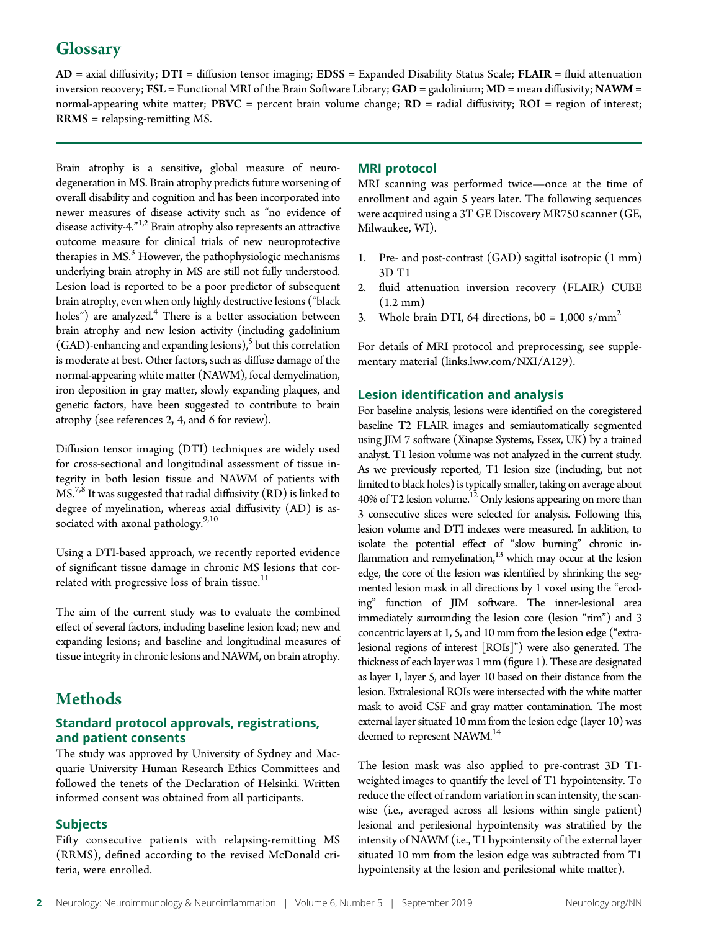# **Glossary**

 $AD =$  axial diffusivity;  $DTI =$  diffusion tensor imaging;  $EDSS =$  Expanded Disability Status Scale;  $FLAIR =$  fluid attenuation inversion recovery; FSL = Functional MRI of the Brain Software Library;  $GAD =$  gadolinium;  $MD =$  mean diffusivity; NAWM = normal-appearing white matter; PBVC = percent brain volume change;  $RD$  = radial diffusivity;  $ROI$  = region of interest; RRMS = relapsing-remitting MS.

Brain atrophy is a sensitive, global measure of neurodegeneration in MS. Brain atrophy predicts future worsening of overall disability and cognition and has been incorporated into newer measures of disease activity such as "no evidence of disease activity-4."<sup>1,2</sup> Brain atrophy also represents an attractive outcome measure for clinical trials of new neuroprotective therapies in  $MS<sup>3</sup>$  However, the pathophysiologic mechanisms underlying brain atrophy in MS are still not fully understood. Lesion load is reported to be a poor predictor of subsequent brain atrophy, even when only highly destructive lesions ("black holes") are analyzed.<sup>4</sup> There is a better association between brain atrophy and new lesion activity (including gadolinium  $(GAD)$ -enhancing and expanding lesions),<sup>5</sup> but this correlation is moderate at best. Other factors, such as diffuse damage of the normal-appearing white matter (NAWM), focal demyelination, iron deposition in gray matter, slowly expanding plaques, and genetic factors, have been suggested to contribute to brain atrophy (see references 2, 4, and 6 for review).

Diffusion tensor imaging (DTI) techniques are widely used for cross-sectional and longitudinal assessment of tissue integrity in both lesion tissue and NAWM of patients with MS.<sup>7,8</sup> It was suggested that radial diffusivity (RD) is linked to degree of myelination, whereas axial diffusivity (AD) is associated with axonal pathology.<sup>9,10</sup>

Using a DTI-based approach, we recently reported evidence of significant tissue damage in chronic MS lesions that correlated with progressive loss of brain tissue. $^{11}$ 

The aim of the current study was to evaluate the combined effect of several factors, including baseline lesion load; new and expanding lesions; and baseline and longitudinal measures of tissue integrity in chronic lesions and NAWM, on brain atrophy.

# **Methods**

#### Standard protocol approvals, registrations, and patient consents

The study was approved by University of Sydney and Macquarie University Human Research Ethics Committees and followed the tenets of the Declaration of Helsinki. Written informed consent was obtained from all participants.

#### Subjects

Fifty consecutive patients with relapsing-remitting MS (RRMS), defined according to the revised McDonald criteria, were enrolled.

#### MRI protocol

MRI scanning was performed twice—once at the time of enrollment and again 5 years later. The following sequences were acquired using a 3T GE Discovery MR750 scanner (GE, Milwaukee, WI).

- 1. Pre- and post-contrast (GAD) sagittal isotropic (1 mm) 3D T1
- 2. fluid attenuation inversion recovery (FLAIR) CUBE  $(1.2 \text{ mm})$
- 3. Whole brain DTI, 64 directions,  $b0 = 1,000 \text{ s/mm}^2$

For details of MRI protocol and preprocessing, see supplementary material [\(links.lww.com/NXI/A129\)](http://links.lww.com/NXI/A129).

#### Lesion identification and analysis

For baseline analysis, lesions were identified on the coregistered baseline T2 FLAIR images and semiautomatically segmented using JIM 7 software (Xinapse Systems, Essex, UK) by a trained analyst. T1 lesion volume was not analyzed in the current study. As we previously reported, T1 lesion size (including, but not limited to black holes) is typically smaller, taking on average about 40% of T2 lesion volume.<sup>12</sup> Only lesions appearing on more than 3 consecutive slices were selected for analysis. Following this, lesion volume and DTI indexes were measured. In addition, to isolate the potential effect of "slow burning" chronic inflammation and remyelination, $13$  which may occur at the lesion edge, the core of the lesion was identified by shrinking the segmented lesion mask in all directions by 1 voxel using the "eroding" function of JIM software. The inner-lesional area immediately surrounding the lesion core (lesion "rim") and 3 concentric layers at 1, 5, and 10 mm from the lesion edge ("extralesional regions of interest [ROIs]") were also generated. The thickness of each layer was 1 mm (figure 1). These are designated as layer 1, layer 5, and layer 10 based on their distance from the lesion. Extralesional ROIs were intersected with the white matter mask to avoid CSF and gray matter contamination. The most external layer situated 10 mm from the lesion edge (layer 10) was deemed to represent NAWM.<sup>14</sup>

The lesion mask was also applied to pre-contrast 3D T1 weighted images to quantify the level of T1 hypointensity. To reduce the effect of random variation in scan intensity, the scanwise (i.e., averaged across all lesions within single patient) lesional and perilesional hypointensity was stratified by the intensity of NAWM (i.e., T1 hypointensity of the external layer situated 10 mm from the lesion edge was subtracted from T1 hypointensity at the lesion and perilesional white matter).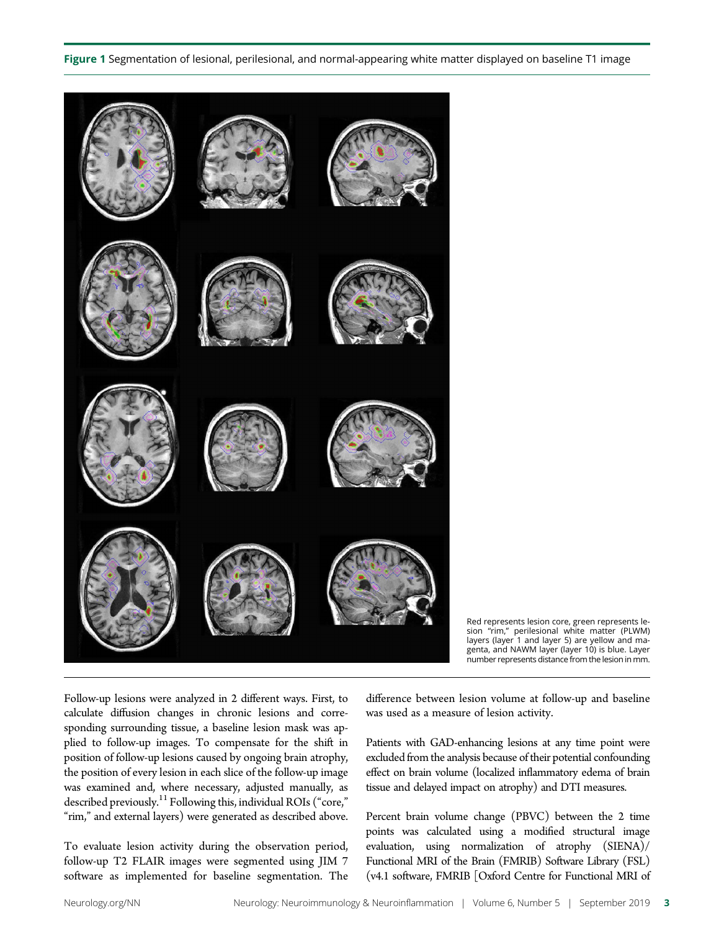#### Figure 1 Segmentation of lesional, perilesional, and normal-appearing white matter displayed on baseline T1 image



Red represents lesion core, green represents lesion "rim," perilesional white matter (PLWM) layers (layer 1 and layer 5) are yellow and magenta, and NAWM layer (layer 10) is blue. Layer number represents distance from the lesion in mm.

Follow-up lesions were analyzed in 2 different ways. First, to calculate diffusion changes in chronic lesions and corresponding surrounding tissue, a baseline lesion mask was applied to follow-up images. To compensate for the shift in position of follow-up lesions caused by ongoing brain atrophy, the position of every lesion in each slice of the follow-up image was examined and, where necessary, adjusted manually, as described previously.<sup>11</sup> Following this, individual ROIs ("core," "rim," and external layers) were generated as described above.

To evaluate lesion activity during the observation period, follow-up T2 FLAIR images were segmented using JIM 7 software as implemented for baseline segmentation. The

difference between lesion volume at follow-up and baseline was used as a measure of lesion activity.

Patients with GAD-enhancing lesions at any time point were excluded from the analysis because of their potential confounding effect on brain volume (localized inflammatory edema of brain tissue and delayed impact on atrophy) and DTI measures.

Percent brain volume change (PBVC) between the 2 time points was calculated using a modified structural image evaluation, using normalization of atrophy (SIENA)/ Functional MRI of the Brain (FMRIB) Software Library (FSL) (v4.1 software, FMRIB [Oxford Centre for Functional MRI of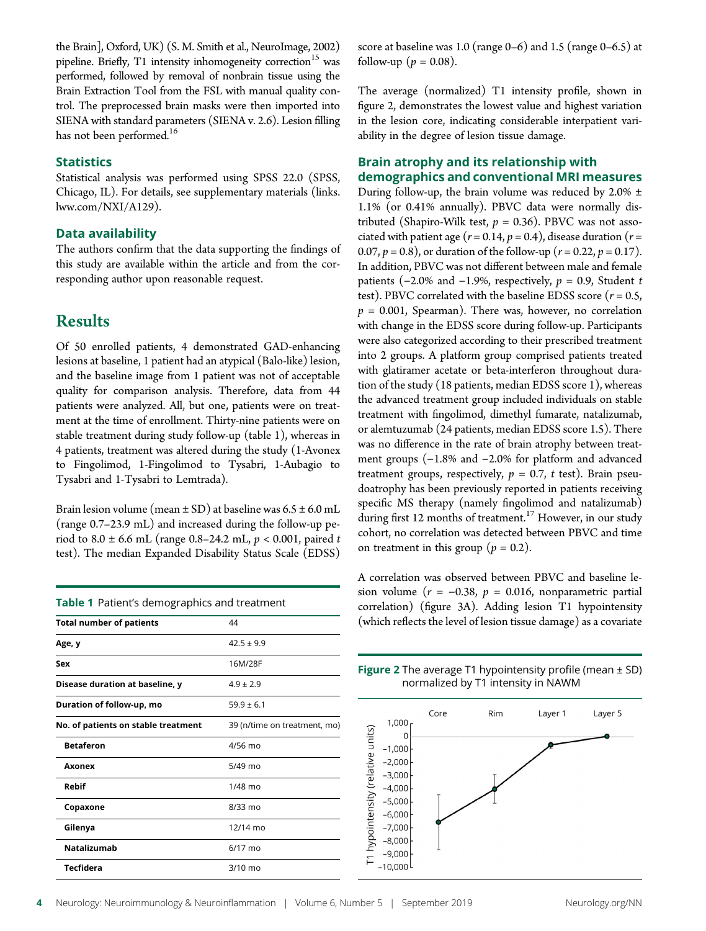the Brain], Oxford, UK) (S. M. Smith et al., NeuroImage, 2002) pipeline. Briefly, T1 intensity inhomogeneity correction<sup>15</sup> was performed, followed by removal of nonbrain tissue using the Brain Extraction Tool from the FSL with manual quality control. The preprocessed brain masks were then imported into SIENA with standard parameters (SIENA v. 2.6). Lesion filling has not been performed.<sup>16</sup>

#### **Statistics**

Statistical analysis was performed using SPSS 22.0 (SPSS, Chicago, IL). For details, see supplementary materials ([links.](http://links.lww.com/NXI/A129) [lww.com/NXI/A129\)](http://links.lww.com/NXI/A129).

#### Data availability

The authors confirm that the data supporting the findings of this study are available within the article and from the corresponding author upon reasonable request.

### Results

Of 50 enrolled patients, 4 demonstrated GAD-enhancing lesions at baseline, 1 patient had an atypical (Balo-like) lesion, and the baseline image from 1 patient was not of acceptable quality for comparison analysis. Therefore, data from 44 patients were analyzed. All, but one, patients were on treatment at the time of enrollment. Thirty-nine patients were on stable treatment during study follow-up (table 1), whereas in 4 patients, treatment was altered during the study (1-Avonex to Fingolimod, 1-Fingolimod to Tysabri, 1-Aubagio to Tysabri and 1-Tysabri to Lemtrada).

Brain lesion volume (mean  $\pm$  SD) at baseline was  $6.5 \pm 6.0$  mL (range 0.7–23.9 mL) and increased during the follow-up period to  $8.0 \pm 6.6$  mL (range 0.8–24.2 mL,  $p < 0.001$ , paired t test). The median Expanded Disability Status Scale (EDSS)

| Table 1 Patient's demographics and treatment |                              |  |  |
|----------------------------------------------|------------------------------|--|--|
| <b>Total number of patients</b>              | 44                           |  |  |
| Age, y                                       | $42.5 \pm 9.9$               |  |  |
| Sex                                          | 16M/28F                      |  |  |
| Disease duration at baseline, y              | $4.9 \pm 2.9$                |  |  |
| Duration of follow-up, mo                    | $59.9 \pm 6.1$               |  |  |
| No. of patients on stable treatment          | 39 (n/time on treatment, mo) |  |  |
| <b>Betaferon</b>                             | 4/56 mo                      |  |  |
| Axonex                                       | $5/49$ mo                    |  |  |
| Rebif                                        | $1/48$ mo                    |  |  |
| Copaxone                                     | $8/33$ mo                    |  |  |
| Gilenya                                      | 12/14 mo                     |  |  |
| <b>Natalizumab</b>                           | $6/17$ mo                    |  |  |
| <b>Tecfidera</b>                             | $3/10$ mo                    |  |  |

score at baseline was 1.0 (range 0–6) and 1.5 (range 0–6.5) at follow-up ( $p = 0.08$ ).

The average (normalized) T1 intensity profile, shown in figure 2, demonstrates the lowest value and highest variation in the lesion core, indicating considerable interpatient variability in the degree of lesion tissue damage.

#### Brain atrophy and its relationship with demographics and conventional MRI measures

During follow-up, the brain volume was reduced by 2.0%  $\pm$ 1.1% (or 0.41% annually). PBVC data were normally distributed (Shapiro-Wilk test,  $p = 0.36$ ). PBVC was not associated with patient age ( $r = 0.14$ ,  $p = 0.4$ ), disease duration ( $r =$ 0.07,  $p = 0.8$ ), or duration of the follow-up ( $r = 0.22$ ,  $p = 0.17$ ). In addition, PBVC was not different between male and female patients (-2.0% and -1.9%, respectively,  $p = 0.9$ , Student t test). PBVC correlated with the baseline EDSS score  $(r = 0.5,$  $p = 0.001$ , Spearman). There was, however, no correlation with change in the EDSS score during follow-up. Participants were also categorized according to their prescribed treatment into 2 groups. A platform group comprised patients treated with glatiramer acetate or beta-interferon throughout duration of the study (18 patients, median EDSS score 1), whereas the advanced treatment group included individuals on stable treatment with fingolimod, dimethyl fumarate, natalizumab, or alemtuzumab (24 patients, median EDSS score 1.5). There was no difference in the rate of brain atrophy between treatment groups (−1.8% and −2.0% for platform and advanced treatment groups, respectively,  $p = 0.7$ , t test). Brain pseudoatrophy has been previously reported in patients receiving specific MS therapy (namely fingolimod and natalizumab) during first 12 months of treatment.<sup>17</sup> However, in our study cohort, no correlation was detected between PBVC and time on treatment in this group ( $p = 0.2$ ).

A correlation was observed between PBVC and baseline lesion volume ( $r = -0.38$ ,  $p = 0.016$ , nonparametric partial correlation) (figure 3A). Adding lesion T1 hypointensity (which reflects the level of lesion tissue damage) as a covariate

**Figure 2** The average T1 hypointensity profile (mean  $\pm$  SD) normalized by T1 intensity in NAWM

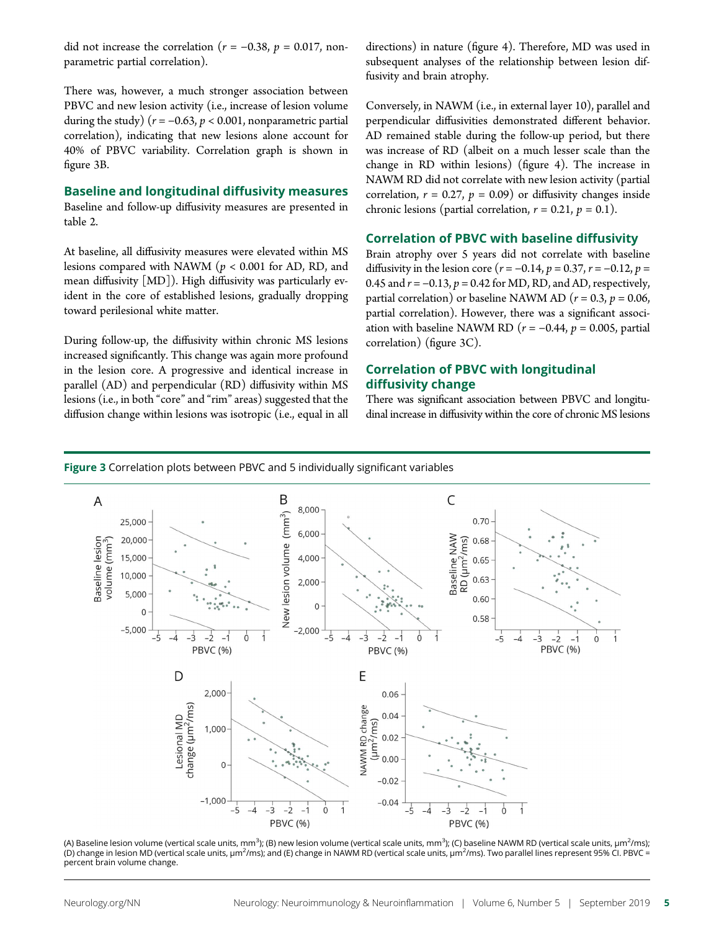did not increase the correlation ( $r = -0.38$ ,  $p = 0.017$ , nonparametric partial correlation).

There was, however, a much stronger association between PBVC and new lesion activity (i.e., increase of lesion volume during the study) ( $r = -0.63$ ,  $p < 0.001$ , nonparametric partial correlation), indicating that new lesions alone account for 40% of PBVC variability. Correlation graph is shown in figure 3B.

#### Baseline and longitudinal diffusivity measures

Baseline and follow-up diffusivity measures are presented in table 2.

At baseline, all diffusivity measures were elevated within MS lesions compared with NAWM ( $p < 0.001$  for AD, RD, and mean diffusivity [MD]). High diffusivity was particularly evident in the core of established lesions, gradually dropping toward perilesional white matter.

During follow-up, the diffusivity within chronic MS lesions increased significantly. This change was again more profound in the lesion core. A progressive and identical increase in parallel (AD) and perpendicular (RD) diffusivity within MS lesions (i.e., in both "core"and "rim"areas) suggested that the diffusion change within lesions was isotropic (i.e., equal in all directions) in nature (figure 4). Therefore, MD was used in subsequent analyses of the relationship between lesion diffusivity and brain atrophy.

Conversely, in NAWM (i.e., in external layer 10), parallel and perpendicular diffusivities demonstrated different behavior. AD remained stable during the follow-up period, but there was increase of RD (albeit on a much lesser scale than the change in RD within lesions) (figure 4). The increase in NAWM RD did not correlate with new lesion activity (partial correlation,  $r = 0.27$ ,  $p = 0.09$ ) or diffusivity changes inside chronic lesions (partial correlation,  $r = 0.21$ ,  $p = 0.1$ ).

#### Correlation of PBVC with baseline diffusivity

Brain atrophy over 5 years did not correlate with baseline diffusivity in the lesion core ( $r = -0.14$ ,  $p = 0.37$ ,  $r = -0.12$ ,  $p =$ 0.45 and  $r = -0.13$ ,  $p = 0.42$  for MD, RD, and AD, respectively, partial correlation) or baseline NAWM AD ( $r = 0.3$ ,  $p = 0.06$ , partial correlation). However, there was a significant association with baseline NAWM RD ( $r = -0.44$ ,  $p = 0.005$ , partial correlation) (figure 3C).

#### Correlation of PBVC with longitudinal diffusivity change

There was significant association between PBVC and longitudinal increase in diffusivity within the core of chronic MS lesions





(A) Baseline lesion volume (vertical scale units, mm $^3$ ); (B) new lesion volume (vertical scale units, mm $^3$ ); (C) baseline NAWM RD (vertical scale units, µm $^2$ /ms); (D) change in lesion MD (vertical scale units, μm<sup>2</sup>/ms); and (E) change in NAWM RD (vertical scale units, μm<sup>2</sup>/ms). Two parallel lines represent 95% Cl. PBVC = percent brain volume change.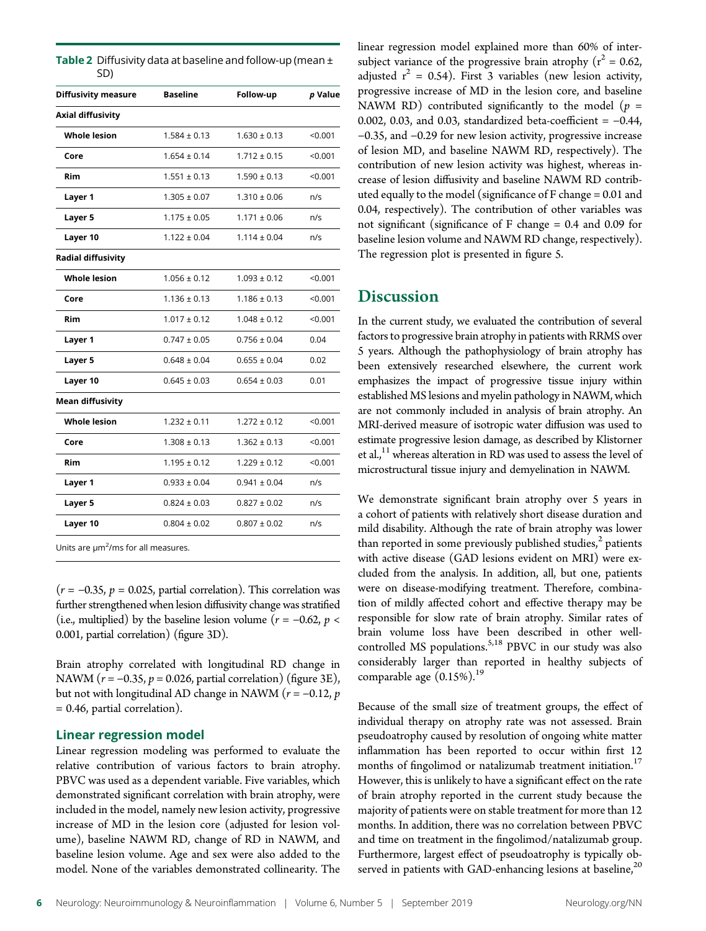| <b>Table 2</b> Diffusivity data at baseline and follow-up (mean $\pm$ |
|-----------------------------------------------------------------------|
| SD)                                                                   |

| <b>Diffusivity measure</b> | <b>Baseline</b>  | Follow-up        | p Value |
|----------------------------|------------------|------------------|---------|
| <b>Axial diffusivity</b>   |                  |                  |         |
| <b>Whole lesion</b>        | $1.584 \pm 0.13$ | $1.630 \pm 0.13$ | < 0.001 |
| Core                       | $1.654 \pm 0.14$ | $1.712 \pm 0.15$ | < 0.001 |
| Rim                        | $1.551 \pm 0.13$ | $1.590 \pm 0.13$ | < 0.001 |
| Layer 1                    | $1.305 \pm 0.07$ | $1.310 \pm 0.06$ | n/s     |
| Layer 5                    | $1.175 \pm 0.05$ | $1.171 \pm 0.06$ | n/s     |
| Layer 10                   | $1.122 \pm 0.04$ | $1.114 \pm 0.04$ | n/s     |
| Radial diffusivity         |                  |                  |         |
| <b>Whole lesion</b>        | $1.056 \pm 0.12$ | $1.093 \pm 0.12$ | < 0.001 |
| Core                       | $1.136 \pm 0.13$ | $1.186 \pm 0.13$ | < 0.001 |
| Rim                        | $1.017 \pm 0.12$ | $1.048 \pm 0.12$ | < 0.001 |
| Layer 1                    | $0.747 \pm 0.05$ | $0.756 \pm 0.04$ | 0.04    |
| Layer 5                    | $0.648 \pm 0.04$ | $0.655 \pm 0.04$ | 0.02    |
| Layer 10                   | $0.645 \pm 0.03$ | $0.654 \pm 0.03$ | 0.01    |
| <b>Mean diffusivity</b>    |                  |                  |         |
| <b>Whole lesion</b>        | $1.232 \pm 0.11$ | $1.272 \pm 0.12$ | < 0.001 |
| Core                       | $1.308 \pm 0.13$ | $1.362 \pm 0.13$ | < 0.001 |
| Rim                        | $1.195 \pm 0.12$ | $1.229 \pm 0.12$ | < 0.001 |
| Layer 1                    | $0.933 \pm 0.04$ | $0.941 \pm 0.04$ | n/s     |
| Layer 5                    | $0.824 \pm 0.03$ | $0.827 \pm 0.02$ | n/s     |
| Layer 10                   | $0.804 \pm 0.02$ | $0.807 \pm 0.02$ | n/s     |
|                            |                  |                  |         |

Units are  $\mu$ m<sup>2</sup>/ms for all measures.

 $(r = −0.35, p = 0.025,$  partial correlation). This correlation was further strengthened when lesion diffusivity change was stratified (i.e., multiplied) by the baseline lesion volume ( $r = -0.62$ ,  $p <$ 0.001, partial correlation) (figure 3D).

Brain atrophy correlated with longitudinal RD change in NAWM ( $r = -0.35$ ,  $p = 0.026$ , partial correlation) (figure 3E), but not with longitudinal AD change in NAWM ( $r = -0.12$ , p = 0.46, partial correlation).

#### Linear regression model

Linear regression modeling was performed to evaluate the relative contribution of various factors to brain atrophy. PBVC was used as a dependent variable. Five variables, which demonstrated significant correlation with brain atrophy, were included in the model, namely new lesion activity, progressive increase of MD in the lesion core (adjusted for lesion volume), baseline NAWM RD, change of RD in NAWM, and baseline lesion volume. Age and sex were also added to the model. None of the variables demonstrated collinearity. The linear regression model explained more than 60% of intersubject variance of the progressive brain atrophy ( $r^2 = 0.62$ , adjusted  $r^2 = 0.54$ ). First 3 variables (new lesion activity, progressive increase of MD in the lesion core, and baseline NAWM RD) contributed significantly to the model ( $p =$ 0.002, 0.03, and 0.03, standardized beta-coefficient = −0.44, −0.35, and −0.29 for new lesion activity, progressive increase of lesion MD, and baseline NAWM RD, respectively). The contribution of new lesion activity was highest, whereas increase of lesion diffusivity and baseline NAWM RD contributed equally to the model (significance of F change = 0.01 and 0.04, respectively). The contribution of other variables was not significant (significance of F change = 0.4 and 0.09 for baseline lesion volume and NAWM RD change, respectively). The regression plot is presented in figure 5.

## **Discussion**

In the current study, we evaluated the contribution of several factors to progressive brain atrophy in patients with RRMS over 5 years. Although the pathophysiology of brain atrophy has been extensively researched elsewhere, the current work emphasizes the impact of progressive tissue injury within established MS lesions and myelin pathology in NAWM, which are not commonly included in analysis of brain atrophy. An MRI-derived measure of isotropic water diffusion was used to estimate progressive lesion damage, as described by Klistorner et al.,<sup>11</sup> whereas alteration in RD was used to assess the level of microstructural tissue injury and demyelination in NAWM.

We demonstrate significant brain atrophy over 5 years in a cohort of patients with relatively short disease duration and mild disability. Although the rate of brain atrophy was lower than reported in some previously published studies, $<sup>2</sup>$  patients</sup> with active disease (GAD lesions evident on MRI) were excluded from the analysis. In addition, all, but one, patients were on disease-modifying treatment. Therefore, combination of mildly affected cohort and effective therapy may be responsible for slow rate of brain atrophy. Similar rates of brain volume loss have been described in other wellcontrolled MS populations.<sup>5,18</sup> PBVC in our study was also considerably larger than reported in healthy subjects of comparable age  $(0.15\%)$ .<sup>19</sup>

Because of the small size of treatment groups, the effect of individual therapy on atrophy rate was not assessed. Brain pseudoatrophy caused by resolution of ongoing white matter inflammation has been reported to occur within first 12 months of fingolimod or natalizumab treatment initiation.<sup>17</sup> However, this is unlikely to have a significant effect on the rate of brain atrophy reported in the current study because the majority of patients were on stable treatment for more than 12 months. In addition, there was no correlation between PBVC and time on treatment in the fingolimod/natalizumab group. Furthermore, largest effect of pseudoatrophy is typically observed in patients with GAD-enhancing lesions at baseline, $^{20}$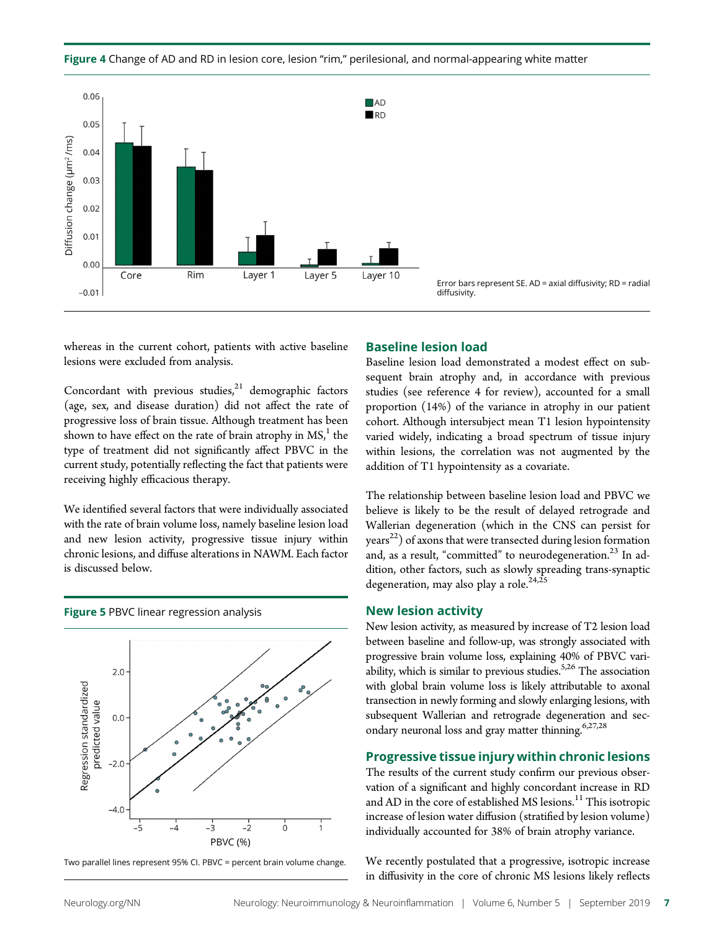



Error bars represent SE. AD = axial diffusivity; RD = radial

whereas in the current cohort, patients with active baseline lesions were excluded from analysis.

Concordant with previous studies, $21$  demographic factors (age, sex, and disease duration) did not affect the rate of progressive loss of brain tissue. Although treatment has been shown to have effect on the rate of brain atrophy in  $MS<sub>i</sub><sup>1</sup>$  the type of treatment did not significantly affect PBVC in the current study, potentially reflecting the fact that patients were receiving highly efficacious therapy.

We identified several factors that were individually associated with the rate of brain volume loss, namely baseline lesion load and new lesion activity, progressive tissue injury within chronic lesions, and diffuse alterations in NAWM. Each factor is discussed below.



Two parallel lines represent 95% CI. PBVC = percent brain volume change.

#### Baseline lesion load

Baseline lesion load demonstrated a modest effect on subsequent brain atrophy and, in accordance with previous studies (see reference 4 for review), accounted for a small proportion (14%) of the variance in atrophy in our patient cohort. Although intersubject mean T1 lesion hypointensity varied widely, indicating a broad spectrum of tissue injury within lesions, the correlation was not augmented by the addition of T1 hypointensity as a covariate.

The relationship between baseline lesion load and PBVC we believe is likely to be the result of delayed retrograde and Wallerian degeneration (which in the CNS can persist for  $\gamma$ ears<sup>22</sup>) of axons that were transected during lesion formation and, as a result, "committed" to neurodegeneration.<sup>23</sup> In addition, other factors, such as slowly spreading trans-synaptic degeneration, may also play a role.<sup>24,25</sup>

#### New lesion activity

New lesion activity, as measured by increase of T2 lesion load between baseline and follow-up, was strongly associated with progressive brain volume loss, explaining 40% of PBVC variability, which is similar to previous studies.<sup>5,26</sup> The association with global brain volume loss is likely attributable to axonal transection in newly forming and slowly enlarging lesions, with subsequent Wallerian and retrograde degeneration and secondary neuronal loss and gray matter thinning. $6,27,28$ 

#### Progressive tissue injury within chronic lesions

The results of the current study confirm our previous observation of a significant and highly concordant increase in RD and AD in the core of established MS lesions.<sup>11</sup> This isotropic increase of lesion water diffusion (stratified by lesion volume) individually accounted for 38% of brain atrophy variance.

We recently postulated that a progressive, isotropic increase in diffusivity in the core of chronic MS lesions likely reflects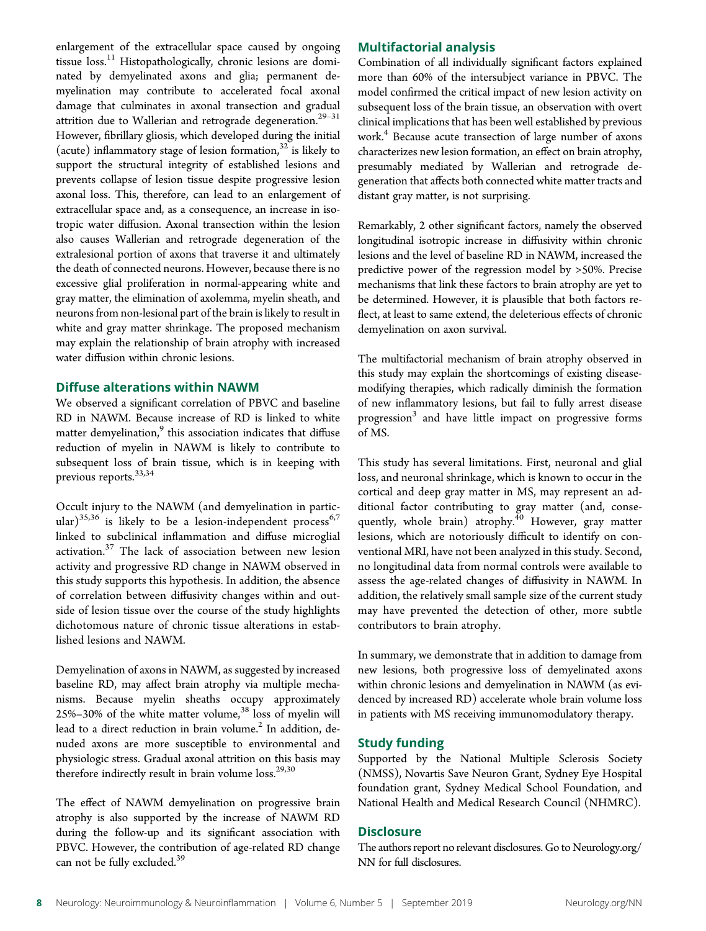enlargement of the extracellular space caused by ongoing tissue loss.<sup>11</sup> Histopathologically, chronic lesions are dominated by demyelinated axons and glia; permanent demyelination may contribute to accelerated focal axonal damage that culminates in axonal transection and gradual attrition due to Wallerian and retrograde degeneration.<sup>29-31</sup> However, fibrillary gliosis, which developed during the initial (acute) inflammatory stage of lesion formation, $32$  is likely to support the structural integrity of established lesions and prevents collapse of lesion tissue despite progressive lesion axonal loss. This, therefore, can lead to an enlargement of extracellular space and, as a consequence, an increase in isotropic water diffusion. Axonal transection within the lesion also causes Wallerian and retrograde degeneration of the extralesional portion of axons that traverse it and ultimately the death of connected neurons. However, because there is no excessive glial proliferation in normal-appearing white and gray matter, the elimination of axolemma, myelin sheath, and neurons from non-lesional part of the brain is likely to result in white and gray matter shrinkage. The proposed mechanism may explain the relationship of brain atrophy with increased water diffusion within chronic lesions.

#### Diffuse alterations within NAWM

We observed a significant correlation of PBVC and baseline RD in NAWM. Because increase of RD is linked to white matter demyelination,<sup>9</sup> this association indicates that diffuse reduction of myelin in NAWM is likely to contribute to subsequent loss of brain tissue, which is in keeping with previous reports.33,34

Occult injury to the NAWM (and demyelination in particular)<sup>35,36</sup> is likely to be a lesion-independent process<sup>6,7</sup> linked to subclinical inflammation and diffuse microglial activation.<sup>37</sup> The lack of association between new lesion activity and progressive RD change in NAWM observed in this study supports this hypothesis. In addition, the absence of correlation between diffusivity changes within and outside of lesion tissue over the course of the study highlights dichotomous nature of chronic tissue alterations in established lesions and NAWM.

Demyelination of axons in NAWM, as suggested by increased baseline RD, may affect brain atrophy via multiple mechanisms. Because myelin sheaths occupy approximately 25%–30% of the white matter volume,<sup>38</sup> loss of myelin will lead to a direct reduction in brain volume.<sup>2</sup> In addition, denuded axons are more susceptible to environmental and physiologic stress. Gradual axonal attrition on this basis may therefore indirectly result in brain volume  $loss.<sup>29,30</sup>$ 

The effect of NAWM demyelination on progressive brain atrophy is also supported by the increase of NAWM RD during the follow-up and its significant association with PBVC. However, the contribution of age-related RD change can not be fully excluded.<sup>39</sup>

#### Multifactorial analysis

Combination of all individually significant factors explained more than 60% of the intersubject variance in PBVC. The model confirmed the critical impact of new lesion activity on subsequent loss of the brain tissue, an observation with overt clinical implications that has been well established by previous work.<sup>4</sup> Because acute transection of large number of axons characterizes new lesion formation, an effect on brain atrophy, presumably mediated by Wallerian and retrograde degeneration that affects both connected white matter tracts and distant gray matter, is not surprising.

Remarkably, 2 other significant factors, namely the observed longitudinal isotropic increase in diffusivity within chronic lesions and the level of baseline RD in NAWM, increased the predictive power of the regression model by >50%. Precise mechanisms that link these factors to brain atrophy are yet to be determined. However, it is plausible that both factors reflect, at least to same extend, the deleterious effects of chronic demyelination on axon survival.

The multifactorial mechanism of brain atrophy observed in this study may explain the shortcomings of existing diseasemodifying therapies, which radically diminish the formation of new inflammatory lesions, but fail to fully arrest disease progression<sup>3</sup> and have little impact on progressive forms of MS.

This study has several limitations. First, neuronal and glial loss, and neuronal shrinkage, which is known to occur in the cortical and deep gray matter in MS, may represent an additional factor contributing to gray matter (and, consequently, whole brain) atrophy.<sup>40</sup> However, gray matter lesions, which are notoriously difficult to identify on conventional MRI, have not been analyzed in this study. Second, no longitudinal data from normal controls were available to assess the age-related changes of diffusivity in NAWM. In addition, the relatively small sample size of the current study may have prevented the detection of other, more subtle contributors to brain atrophy.

In summary, we demonstrate that in addition to damage from new lesions, both progressive loss of demyelinated axons within chronic lesions and demyelination in NAWM (as evidenced by increased RD) accelerate whole brain volume loss in patients with MS receiving immunomodulatory therapy.

#### Study funding

Supported by the National Multiple Sclerosis Society (NMSS), Novartis Save Neuron Grant, Sydney Eye Hospital foundation grant, Sydney Medical School Foundation, and National Health and Medical Research Council (NHMRC).

#### **Disclosure**

The authors report no relevant disclosures. Go to [Neurology.org/](https://nn.neurology.org/content/6/5/e593/tab-article-info) [NN](https://nn.neurology.org/content/6/5/e593/tab-article-info) for full disclosures.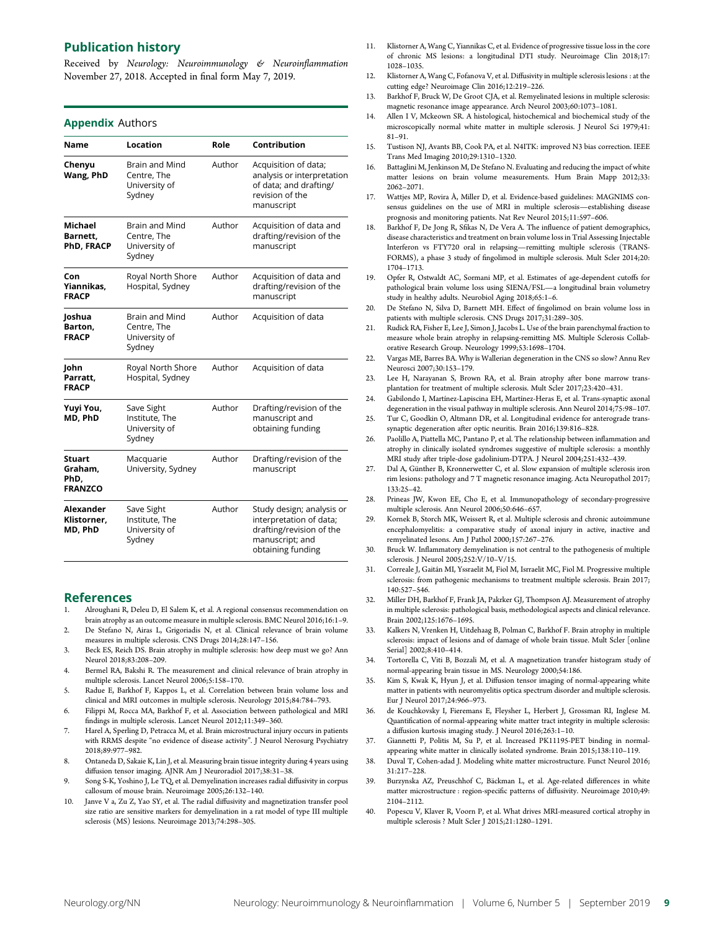#### Publication history

Received by Neurology: Neuroimmunology & Neuroinflammation November 27, 2018. Accepted in final form May 7, 2019.

#### **Appendix Authors**

| Name                                               | Location                                                        | Role   | Contribution                                                                                                             |
|----------------------------------------------------|-----------------------------------------------------------------|--------|--------------------------------------------------------------------------------------------------------------------------|
| Chenyu<br>Wang, PhD                                | Brain and Mind<br>Centre, The<br>University of<br>Sydney        | Author | Acquisition of data;<br>analysis or interpretation<br>of data; and drafting/<br>revision of the<br>manuscript            |
| <b>Michael</b><br>Barnett.<br>PhD, FRACP           | <b>Brain and Mind</b><br>Centre, The<br>University of<br>Sydney | Author | Acquisition of data and<br>drafting/revision of the<br>manuscript                                                        |
| Con<br>Yiannikas,<br><b>FRACP</b>                  | Royal North Shore<br>Hospital, Sydney                           | Author | Acquisition of data and<br>drafting/revision of the<br>manuscript                                                        |
| Joshua<br>Barton.<br><b>FRACP</b>                  | <b>Brain and Mind</b><br>Centre, The<br>University of<br>Sydney | Author | Acquisition of data                                                                                                      |
| John<br>Parratt.<br><b>FRACP</b>                   | Royal North Shore<br>Hospital, Sydney                           | Author | Acquisition of data                                                                                                      |
| Yuyi You,<br>MD, PhD                               | Save Sight<br>Institute, The<br>University of<br>Sydney         | Author | Drafting/revision of the<br>manuscript and<br>obtaining funding                                                          |
| <b>Stuart</b><br>Graham,<br>PhD,<br><b>FRANZCO</b> | Macquarie<br>University, Sydney                                 | Author | Drafting/revision of the<br>manuscript                                                                                   |
| Alexander<br>Klistorner,<br>MD, PhD                | Save Sight<br>Institute, The<br>University of<br>Sydney         | Author | Study design; analysis or<br>interpretation of data;<br>drafting/revision of the<br>manuscript; and<br>obtaining funding |

#### References

- 1. Alroughani R, Deleu D, El Salem K, et al. A regional consensus recommendation on brain atrophy as an outcome measure in multiple sclerosis. BMC Neurol 2016;16:1–9.
- 2. De Stefano N, Airas L, Grigoriadis N, et al. Clinical relevance of brain volume measures in multiple sclerosis. CNS Drugs 2014;28:147–156.
- 3. Beck ES, Reich DS. Brain atrophy in multiple sclerosis: how deep must we go? Ann Neurol 2018;83:208–209.
- 4. Bermel RA, Bakshi R. The measurement and clinical relevance of brain atrophy in multiple sclerosis. Lancet Neurol 2006;5:158–170.
- 5. Radue E, Barkhof F, Kappos L, et al. Correlation between brain volume loss and clinical and MRI outcomes in multiple sclerosis. Neurology 2015;84:784–793.
- 6. Filippi M, Rocca MA, Barkhof F, et al. Association between pathological and MRI findings in multiple sclerosis. Lancet Neurol 2012;11:349–360.
- 7. Harel A, Sperling D, Petracca M, et al. Brain microstructural injury occurs in patients with RRMS despite "no evidence of disease activity". J Neurol Nerosurg Psychiatry 2018;89:977–982.
- 8. Ontaneda D, Sakaie K, Lin J, et al. Measuring brain tissue integrity during 4 years using diffusion tensor imaging. AJNR Am J Neuroradiol 2017;38:31–38.
- 9. Song S-K, Yoshino J, Le TQ, et al. Demyelination increases radial diffusivity in corpus callosum of mouse brain. Neuroimage 2005;26:132–140.
- 10. Janve V a, Zu Z, Yao SY, et al. The radial diffusivity and magnetization transfer pool size ratio are sensitive markers for demyelination in a rat model of type III multiple sclerosis (MS) lesions. Neuroimage 2013;74:298–305.
- Klistorner A, Wang C, Yiannikas C, et al. Evidence of progressive tissue loss in the core of chronic MS lesions: a longitudinal DTI study. Neuroimage Clin 2018;17: 1028–1035.
- 12. Klistorner A, Wang C, Fofanova V, et al. Diffusivity in multiple sclerosis lesions : at the cutting edge? Neuroimage Clin 2016;12:219–226.
- 13. Barkhof F, Bruck W, De Groot CJA, et al. Remyelinated lesions in multiple sclerosis: magnetic resonance image appearance. Arch Neurol 2003;60:1073–1081.
- 14. Allen I V, Mckeown SR. A histological, histochemical and biochemical study of the microscopically normal white matter in multiple sclerosis. J Neurol Sci 1979;41: 81–91.
- 15. Tustison NJ, Avants BB, Cook PA, et al. N4ITK: improved N3 bias correction. IEEE Trans Med Imaging 2010;29:1310–1320.
- 16. Battaglini M, Jenkinson M, De Stefano N. Evaluating and reducing the impact of white matter lesions on brain volume measurements. Hum Brain Mapp 2012;33: 2062–2071.
- 17. Wattjes MP, Rovira À, Miller D, et al. Evidence-based guidelines: MAGNIMS consensus guidelines on the use of MRI in multiple sclerosis—establishing disease prognosis and monitoring patients. Nat Rev Neurol 2015;11:597–606.
- 18. Barkhof F, De Jong R, Sfikas N, De Vera A. The influence of patient demographics, disease characteristics and treatment on brain volume loss in Trial Assessing Injectable Interferon vs FTY720 oral in relapsing—remitting multiple sclerosis (TRANS-FORMS), a phase 3 study of fingolimod in multiple sclerosis. Mult Scler 2014;20: 1704–1713.
- 19. Opfer R, Ostwaldt AC, Sormani MP, et al. Estimates of age-dependent cutoffs for pathological brain volume loss using SIENA/FSL—a longitudinal brain volumetry study in healthy adults. Neurobiol Aging 2018;65:1–6.
- 20. De Stefano N, Silva D, Barnett MH. Effect of fingolimod on brain volume loss in patients with multiple sclerosis. CNS Drugs 2017;31:289–305.
- 21. Rudick RA, Fisher E, Lee J, Simon J, Jacobs L. Use of the brain parenchymal fraction to measure whole brain atrophy in relapsing-remitting MS. Multiple Sclerosis Collaborative Research Group. Neurology 1999;53:1698–1704.
- 22. Vargas ME, Barres BA. Why is Wallerian degeneration in the CNS so slow? Annu Rev Neurosci 2007;30:153–179.
- Lee H, Narayanan S, Brown RA, et al. Brain atrophy after bone marrow transplantation for treatment of multiple sclerosis. Mult Scler 2017;23:420–431.
- 24. Gabilondo I, Martínez-Lapiscina EH, Martínez-Heras E, et al. Trans-synaptic axonal degeneration in the visual pathway in multiple sclerosis. Ann Neurol 2014;75:98–107.
- 25. Tur C, Goodkin O, Altmann DR, et al. Longitudinal evidence for anterograde transsynaptic degeneration after optic neuritis. Brain 2016;139:816–828.
- 26. Paolillo A, Piattella MC, Pantano P, et al. The relationship between inflammation and atrophy in clinically isolated syndromes suggestive of multiple sclerosis: a monthly MRI study after triple-dose gadolinium-DTPA. J Neurol 2004;251:432–439.
- 27. Dal A, Günther B, Kronnerwetter C, et al. Slow expansion of multiple sclerosis iron rim lesions: pathology and 7 T magnetic resonance imaging. Acta Neuropathol 2017; 133:25–42.
- 28. Prineas JW, Kwon EE, Cho E, et al. Immunopathology of secondary-progressive multiple sclerosis. Ann Neurol 2006;50:646–657.
- 29. Kornek B, Storch MK, Weissert R, et al. Multiple sclerosis and chronic autoimmune encephalomyelitis: a comparative study of axonal injury in active, inactive and remyelinated lesons. Am J Pathol 2000;157:267–276.
- 30. Bruck W. Inflammatory demyelination is not central to the pathogenesis of multiple sclerosis. J Neurol 2005;252:V/10–V/15.
- 31. Correale J, Gaitán MI, Yssraelit M, Fiol M, Isrraelit MC, Fiol M. Progressive multiple sclerosis: from pathogenic mechanisms to treatment multiple sclerosis. Brain 2017; 140:527–546.
- 32. Miller DH, Barkhof F, Frank JA, Pakrker GJ, Thompson AJ. Measurement of atrophy in multiple sclerosis: pathological basis, methodological aspects and clinical relevance. Brain 2002;125:1676–1695.
- 33. Kalkers N, Vrenken H, Uitdehaag B, Polman C, Barkhof F. Brain atrophy in multiple sclerosis: impact of lesions and of damage of whole brain tissue. Mult Scler [online Serial] 2002;8:410–414.
- 34. Tortorella C, Viti B, Bozzali M, et al. A magnetization transfer histogram study of normal-appearing brain tissue in MS. Neurology 2000;54:186.
- 35. Kim S, Kwak K, Hyun J, et al. Diffusion tensor imaging of normal-appearing white matter in patients with neuromyelitis optica spectrum disorder and multiple sclerosis. Eur J Neurol 2017;24:966–973.
- 36. de Kouchkovsky I, Fieremans E, Fleysher L, Herbert J, Grossman RI, Inglese M. Quantification of normal-appearing white matter tract integrity in multiple sclerosis: a diffusion kurtosis imaging study. J Neurol 2016;263:1–10.
- 37. Giannetti P, Politis M, Su P, et al. Increased PK11195-PET binding in normalappearing white matter in clinically isolated syndrome. Brain 2015;138:110–119.
- 38. Duval T, Cohen-adad J. Modeling white matter microstructure. Funct Neurol 2016; 31:217–228.
- 39. Burzynska AZ, Preuschhof C, Bäckman L, et al. Age-related differences in white matter microstructure : region-specific patterns of diffusivity. Neuroimage 2010;49: 2104–2112.
- 40. Popescu V, Klaver R, Voorn P, et al. What drives MRI-measured cortical atrophy in multiple sclerosis ? Mult Scler J 2015;21:1280–1291.